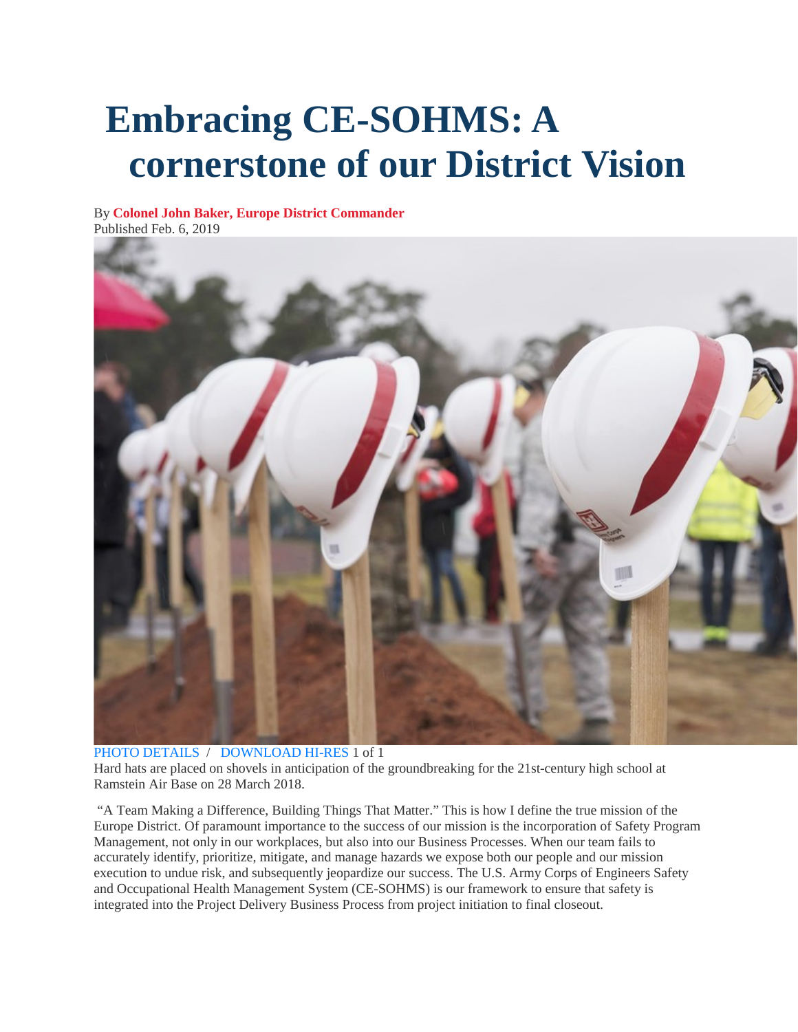## **Embracing CE-SOHMS: A cornerstone of our District Vision**

By **[Colonel John Baker, Europe District Commander](http://www.nau.usace.army.mil/Media/News-Stories/Author/94295/colonel-john-baker-europe-district-commander/)**

Published Feb. 6, 2019



[PHOTO DETAILS](http://www.nau.usace.army.mil/Media/Images/igphoto/2002086810/) / [DOWNLOAD HI-RES](https://media.defense.gov/2019/Feb/06/2002086810/-1/-1/0/060219-A-BU836-001.JPG) 1 of 1

Hard hats are placed on shovels in anticipation of the groundbreaking for the 21st-century high school at Ramstein Air Base on 28 March 2018.

"A Team Making a Difference, Building Things That Matter." This is how I define the true mission of the Europe District. Of paramount importance to the success of our mission is the incorporation of Safety Program Management, not only in our workplaces, but also into our Business Processes. When our team fails to accurately identify, prioritize, mitigate, and manage hazards we expose both our people and our mission execution to undue risk, and subsequently jeopardize our success. The U.S. Army Corps of Engineers Safety and Occupational Health Management System (CE-SOHMS) is our framework to ensure that safety is integrated into the Project Delivery Business Process from project initiation to final closeout.